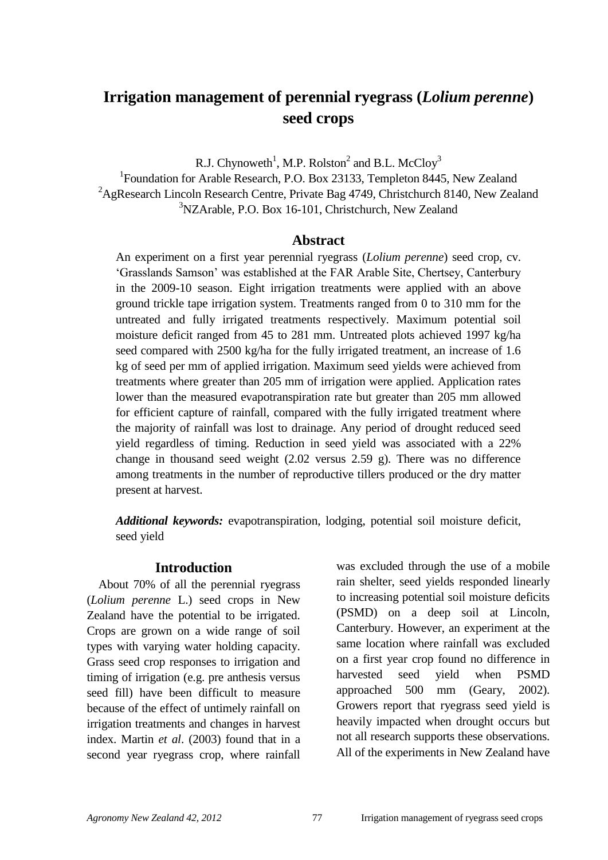# **Irrigation management of perennial ryegrass (***Lolium perenne***) seed crops**

R.J. Chynoweth<sup>1</sup>, M.P. Rolston<sup>2</sup> and B.L. McCloy<sup>3</sup>

<sup>1</sup>Foundation for Arable Research, P.O. Box 23133, Templeton 8445, New Zealand <sup>2</sup>AgResearch Lincoln Research Centre, Private Bag 4749, Christchurch 8140, New Zealand <sup>3</sup>NZArable, P.O. Box 16-101, Christchurch, New Zealand

#### **Abstract**

An experiment on a first year perennial ryegrass (*Lolium perenne*) seed crop, cv. "Grasslands Samson" was established at the FAR Arable Site, Chertsey, Canterbury in the 2009-10 season. Eight irrigation treatments were applied with an above ground trickle tape irrigation system. Treatments ranged from 0 to 310 mm for the untreated and fully irrigated treatments respectively. Maximum potential soil moisture deficit ranged from 45 to 281 mm. Untreated plots achieved 1997 kg/ha seed compared with 2500 kg/ha for the fully irrigated treatment, an increase of 1.6 kg of seed per mm of applied irrigation. Maximum seed yields were achieved from treatments where greater than 205 mm of irrigation were applied. Application rates lower than the measured evapotranspiration rate but greater than 205 mm allowed for efficient capture of rainfall, compared with the fully irrigated treatment where the majority of rainfall was lost to drainage. Any period of drought reduced seed yield regardless of timing. Reduction in seed yield was associated with a 22% change in thousand seed weight (2.02 versus 2.59 g). There was no difference among treatments in the number of reproductive tillers produced or the dry matter present at harvest.

*Additional keywords:* evapotranspiration, lodging, potential soil moisture deficit, seed yield

#### **Introduction**

About 70% of all the perennial ryegrass (*Lolium perenne* L.) seed crops in New Zealand have the potential to be irrigated. Crops are grown on a wide range of soil types with varying water holding capacity. Grass seed crop responses to irrigation and timing of irrigation (e.g. pre anthesis versus seed fill) have been difficult to measure because of the effect of untimely rainfall on irrigation treatments and changes in harvest index. Martin *et al*. (2003) found that in a second year ryegrass crop, where rainfall was excluded through the use of a mobile rain shelter, seed yields responded linearly to increasing potential soil moisture deficits (PSMD) on a deep soil at Lincoln, Canterbury. However, an experiment at the same location where rainfall was excluded on a first year crop found no difference in harvested seed yield when PSMD approached 500 mm (Geary, 2002). Growers report that ryegrass seed yield is heavily impacted when drought occurs but not all research supports these observations. All of the experiments in New Zealand have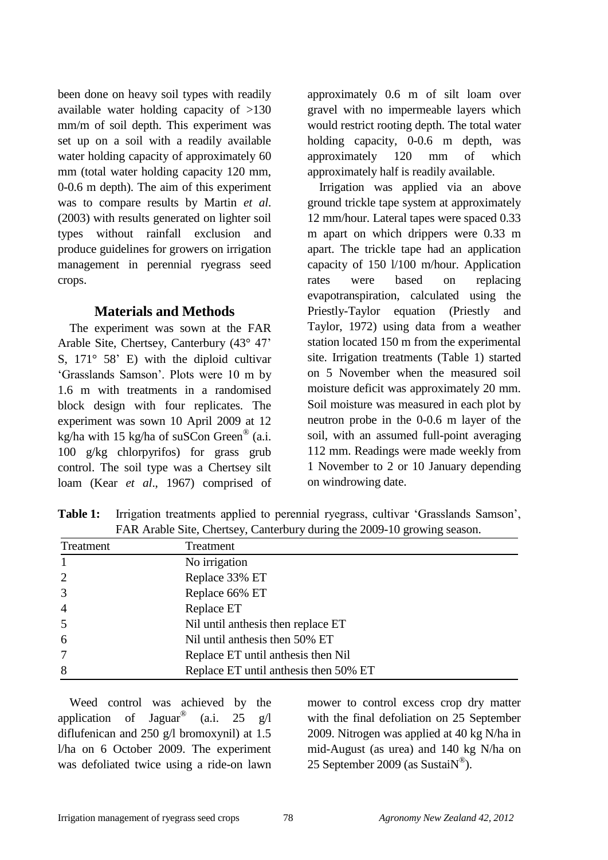been done on heavy soil types with readily available water holding capacity of >130 mm/m of soil depth. This experiment was set up on a soil with a readily available water holding capacity of approximately 60 mm (total water holding capacity 120 mm, 0-0.6 m depth). The aim of this experiment was to compare results by Martin *et al*. (2003) with results generated on lighter soil types without rainfall exclusion and produce guidelines for growers on irrigation management in perennial ryegrass seed crops.

## **Materials and Methods**

The experiment was sown at the FAR Arable Site, Chertsey, Canterbury (43° 47" S, 171° 58" E) with the diploid cultivar "Grasslands Samson". Plots were 10 m by 1.6 m with treatments in a randomised block design with four replicates. The experiment was sown 10 April 2009 at 12 kg/ha with 15 kg/ha of suSCon Green® (a.i. 100 g/kg chlorpyrifos) for grass grub control. The soil type was a Chertsey silt loam (Kear *et al*., 1967) comprised of

approximately 0.6 m of silt loam over gravel with no impermeable layers which would restrict rooting depth. The total water holding capacity, 0-0.6 m depth, was approximately 120 mm of which approximately half is readily available.

Irrigation was applied via an above ground trickle tape system at approximately 12 mm/hour. Lateral tapes were spaced 0.33 m apart on which drippers were 0.33 m apart. The trickle tape had an application capacity of 150 l/100 m/hour. Application rates were based on replacing evapotranspiration, calculated using the Priestly-Taylor equation (Priestly and Taylor, 1972) using data from a weather station located 150 m from the experimental site. Irrigation treatments (Table 1) started on 5 November when the measured soil moisture deficit was approximately 20 mm. Soil moisture was measured in each plot by neutron probe in the 0-0.6 m layer of the soil, with an assumed full-point averaging 112 mm. Readings were made weekly from 1 November to 2 or 10 January depending on windrowing date.

Table 1: Irrigation treatments applied to perennial ryegrass, cultivar 'Grasslands Samson', FAR Arable Site, Chertsey, Canterbury during the 2009-10 growing season.

| Treatment      | Treatment                             |
|----------------|---------------------------------------|
|                | No irrigation                         |
| $\overline{2}$ | Replace 33% ET                        |
| 3              | Replace 66% ET                        |
| $\overline{4}$ | Replace ET                            |
| 5              | Nil until anthesis then replace ET    |
| 6              | Nil until anthesis then 50% ET        |
| 7              | Replace ET until anthesis then Nil    |
| 8              | Replace ET until anthesis then 50% ET |

Weed control was achieved by the application of Jaguar®  $(a.i. 25 \text{ g}/l)$ diflufenican and 250 g/l bromoxynil) at 1.5 l/ha on 6 October 2009. The experiment was defoliated twice using a ride-on lawn

mower to control excess crop dry matter with the final defoliation on 25 September 2009. Nitrogen was applied at 40 kg N/ha in mid-August (as urea) and 140 kg N/ha on 25 September 2009 (as Sustai $N^{\circledR}$ ).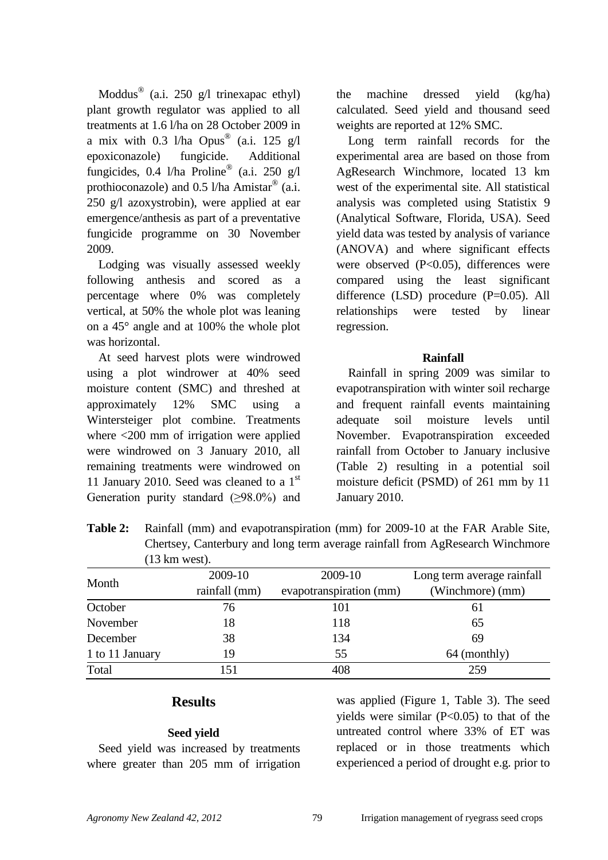Moddus<sup>®</sup> (a.i. 250 g/l trinexapac ethyl) plant growth regulator was applied to all treatments at 1.6 l/ha on 28 October 2009 in a mix with 0.3 l/ha Opus<sup>®</sup> (a.i. 125 g/l epoxiconazole) fungicide. Additional fungicides, 0.4 l/ha Proline® (a.i. 250 g/l prothioconazole) and 0.5 l/ha Amistar<sup>®</sup> (a.i. 250 g/l azoxystrobin), were applied at ear emergence/anthesis as part of a preventative fungicide programme on 30 November 2009.

Lodging was visually assessed weekly following anthesis and scored as a percentage where 0% was completely vertical, at 50% the whole plot was leaning on a 45° angle and at 100% the whole plot was horizontal.

At seed harvest plots were windrowed using a plot windrower at 40% seed moisture content (SMC) and threshed at approximately 12% SMC using a Wintersteiger plot combine. Treatments where <200 mm of irrigation were applied were windrowed on 3 January 2010, all remaining treatments were windrowed on 11 January 2010. Seed was cleaned to a  $1<sup>st</sup>$ Generation purity standard  $(\geq 98.0\%)$  and the machine dressed yield (kg/ha) calculated. Seed yield and thousand seed weights are reported at 12% SMC.

Long term rainfall records for the experimental area are based on those from AgResearch Winchmore, located 13 km west of the experimental site. All statistical analysis was completed using Statistix 9 (Analytical Software, Florida, USA). Seed yield data was tested by analysis of variance (ANOVA) and where significant effects were observed (P<0.05), differences were compared using the least significant difference (LSD) procedure (P=0.05). All relationships were tested by linear regression.

### **Rainfall**

Rainfall in spring 2009 was similar to evapotranspiration with winter soil recharge and frequent rainfall events maintaining adequate soil moisture levels until November. Evapotranspiration exceeded rainfall from October to January inclusive (Table 2) resulting in a potential soil moisture deficit (PSMD) of 261 mm by 11 January 2010.

| Table 2: |                          |         | Rainfall (mm) and evapotranspiration (mm) for 2009-10 at the FAR Arable Site, |
|----------|--------------------------|---------|-------------------------------------------------------------------------------|
|          |                          |         | Chertsey, Canterbury and long term average rainfall from AgResearch Winchmore |
|          | $(13 \text{ km west})$ . |         |                                                                               |
|          | 0.00010                  | 0.00010 | $\mathbf{r}$ , the set of $\mathbf{r}$                                        |

|                 | 2009-10       | 2009-10                 | Long term average rainfall |
|-----------------|---------------|-------------------------|----------------------------|
| Month           | rainfall (mm) | evapotranspiration (mm) | (Winchmore) (mm)           |
| October         | 76            | 101                     | 61                         |
| November        | 18            | 118                     | 65                         |
| December        | 38            | 134                     | 69                         |
| 1 to 11 January | 19            | 55                      | 64 (monthly)               |
| Total           | 151           | 408                     | 259                        |

# **Results**

## **Seed yield**

Seed yield was increased by treatments where greater than 205 mm of irrigation was applied [\(Figure 1,](#page-3-0) [Table 3\)](#page-3-1). The seed vields were similar  $(P<0.05)$  to that of the untreated control where 33% of ET was replaced or in those treatments which experienced a period of drought e.g. prior to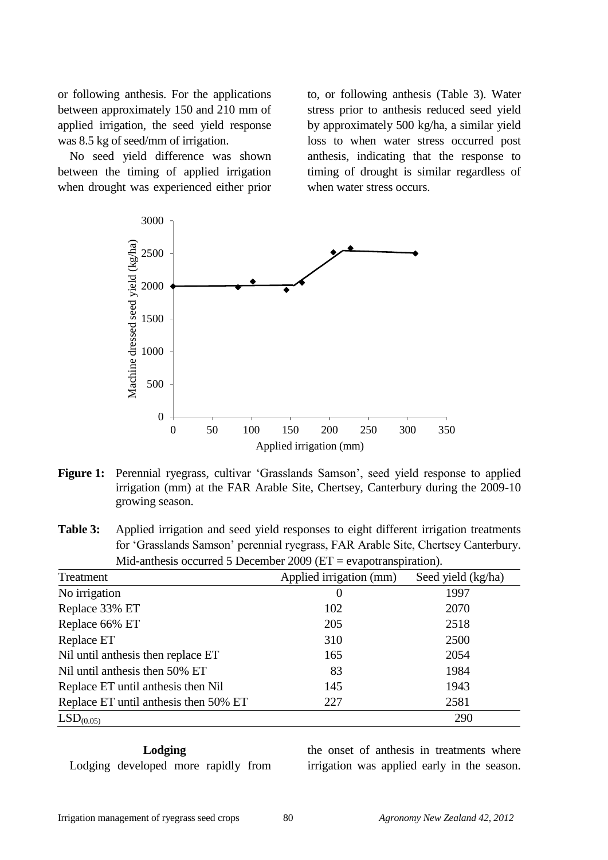or following anthesis. For the applications between approximately 150 and 210 mm of applied irrigation, the seed yield response was 8.5 kg of seed/mm of irrigation.

No seed yield difference was shown between the timing of applied irrigation when drought was experienced either prior to, or following anthesis [\(Table 3\)](#page-3-1). Water stress prior to anthesis reduced seed yield by approximately 500 kg/ha, a similar yield loss to when water stress occurred post anthesis, indicating that the response to timing of drought is similar regardless of when water stress occurs.



<span id="page-3-0"></span>**Figure 1:** Perennial ryegrass, cultivar 'Grasslands Samson', seed yield response to applied irrigation (mm) at the FAR Arable Site, Chertsey, Canterbury during the 2009-10 growing season.

<span id="page-3-1"></span>**Table 3:** Applied irrigation and seed yield responses to eight different irrigation treatments for "Grasslands Samson" perennial ryegrass, FAR Arable Site, Chertsey Canterbury. Mid-anthesis occurred 5 December 2009 (ET = evapotranspiration).

| Treatment                             | Applied irrigation (mm) | Seed yield (kg/ha) |  |
|---------------------------------------|-------------------------|--------------------|--|
| No irrigation                         | 0                       | 1997               |  |
| Replace 33% ET                        | 102                     | 2070               |  |
| Replace 66% ET                        | 205                     | 2518               |  |
| Replace ET                            | 310                     | 2500               |  |
| Nil until anthesis then replace ET    | 165                     | 2054               |  |
| Nil until anthesis then 50% ET        | 83                      | 1984               |  |
| Replace ET until anthesis then Nil    | 145                     | 1943               |  |
| Replace ET until anthesis then 50% ET | 227                     | 2581               |  |
| LSD <sub>(0.05)</sub>                 |                         | 290                |  |

**Lodging** Lodging developed more rapidly from

the onset of anthesis in treatments where irrigation was applied early in the season.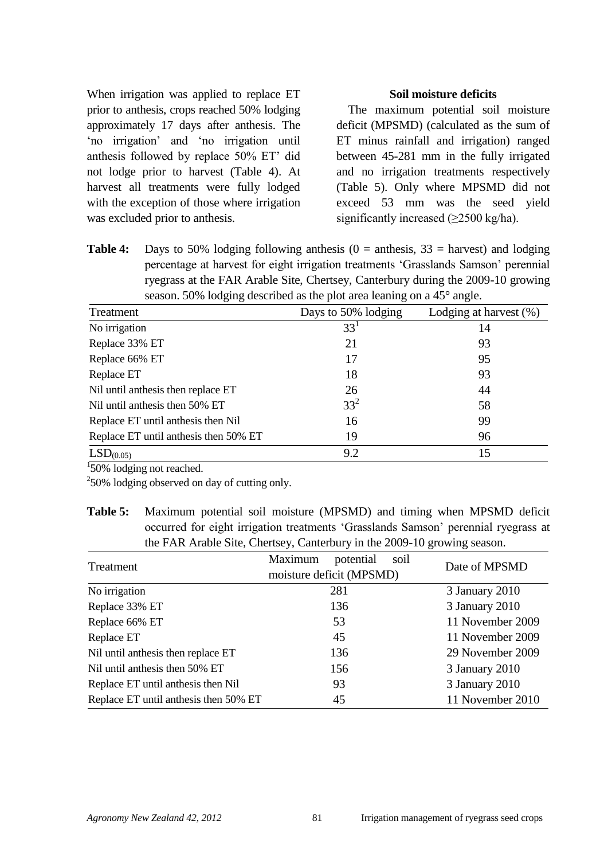When irrigation was applied to replace ET prior to anthesis, crops reached 50% lodging approximately 17 days after anthesis. The "no irrigation" and "no irrigation until anthesis followed by replace 50% ET' did not lodge prior to harvest (Table 4). At harvest all treatments were fully lodged with the exception of those where irrigation was excluded prior to anthesis.

#### **Soil moisture deficits**

The maximum potential soil moisture deficit (MPSMD) (calculated as the sum of ET minus rainfall and irrigation) ranged between 45-281 mm in the fully irrigated and no irrigation treatments respectively (Table 5). Only where MPSMD did not exceed 53 mm was the seed yield significantly increased (>2500 kg/ha).

**Table 4:** Days to 50% lodging following anthesis (0 = anthesis, 33 = harvest) and lodging percentage at harvest for eight irrigation treatments "Grasslands Samson" perennial ryegrass at the FAR Arable Site, Chertsey, Canterbury during the 2009-10 growing season. 50% lodging described as the plot area leaning on a 45° angle.

| Treatment                             | Days to 50% lodging | Lodging at harvest $(\%)$ |  |
|---------------------------------------|---------------------|---------------------------|--|
| No irrigation                         | 33 <sup>1</sup>     | 14                        |  |
| Replace 33% ET                        | 21                  | 93                        |  |
| Replace 66% ET                        | 17                  | 95                        |  |
| Replace ET                            | 18                  | 93                        |  |
| Nil until anthesis then replace ET    | 26                  | 44                        |  |
| Nil until anthesis then 50% ET        | $33^{2}$            | 58                        |  |
| Replace ET until anthesis then Nil    | 16                  | 99                        |  |
| Replace ET until anthesis then 50% ET | 19                  | 96                        |  |
| LSD <sub>(0.05)</sub>                 | 9.2                 | 15                        |  |

<sup>1</sup>50% lodging not reached.

 $250\%$  lodging observed on day of cutting only.

**Table 5:** Maximum potential soil moisture (MPSMD) and timing when MPSMD deficit occurred for eight irrigation treatments "Grasslands Samson" perennial ryegrass at the FAR Arable Site, Chertsey, Canterbury in the 2009-10 growing season.

| Treatment                             | Maximum<br>potential<br>soil<br>moisture deficit (MPSMD) | Date of MPSMD    |  |
|---------------------------------------|----------------------------------------------------------|------------------|--|
| No irrigation                         | 281                                                      | 3 January 2010   |  |
| Replace 33% ET                        | 136                                                      | 3 January 2010   |  |
| Replace 66% ET                        | 53                                                       | 11 November 2009 |  |
| Replace ET                            | 45                                                       | 11 November 2009 |  |
| Nil until anthesis then replace ET    | 136                                                      | 29 November 2009 |  |
| Nil until anthesis then 50% ET        | 156                                                      | 3 January 2010   |  |
| Replace ET until anthesis then Nil    | 93                                                       | 3 January 2010   |  |
| Replace ET until anthesis then 50% ET | 45                                                       | 11 November 2010 |  |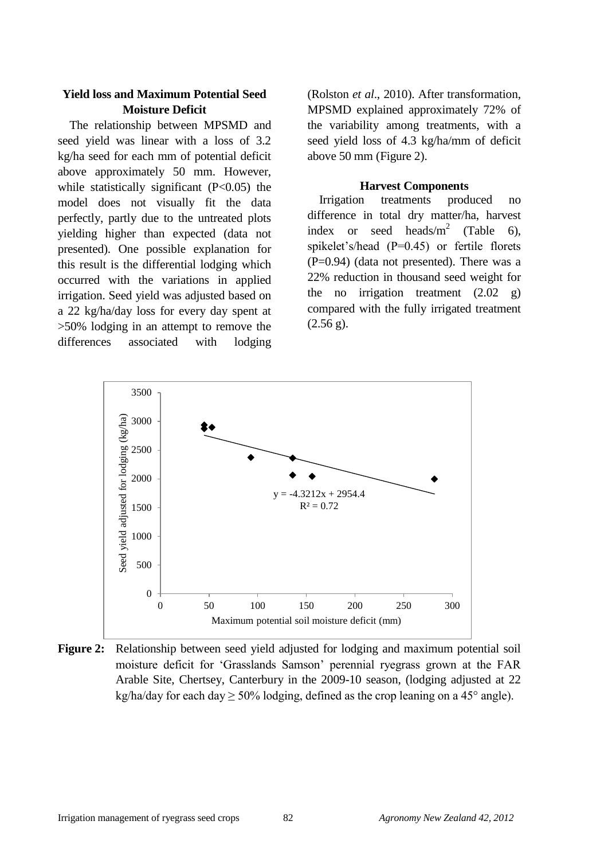# **Yield loss and Maximum Potential Seed Moisture Deficit**

The relationship between MPSMD and seed yield was linear with a loss of 3.2 kg/ha seed for each mm of potential deficit above approximately 50 mm. However, while statistically significant  $(P<0.05)$  the model does not visually fit the data perfectly, partly due to the untreated plots yielding higher than expected (data not presented). One possible explanation for this result is the differential lodging which occurred with the variations in applied irrigation. Seed yield was adjusted based on a 22 kg/ha/day loss for every day spent at >50% lodging in an attempt to remove the differences associated with lodging

(Rolston *et al*., 2010). After transformation, MPSMD explained approximately 72% of the variability among treatments, with a seed yield loss of 4.3 kg/ha/mm of deficit above 50 mm (Figure 2).

#### **Harvest Components**

Irrigation treatments produced no difference in total dry matter/ha, harvest index or seed heads/ $m^2$  [\(Table 6\)](#page-5-0), spikelet's/head (P=0.45) or fertile florets  $(P=0.94)$  (data not presented). There was a 22% reduction in thousand seed weight for the no irrigation treatment  $(2.02 \text{ g})$ compared with the fully irrigated treatment  $(2.56 \text{ g})$ .



<span id="page-5-0"></span>**Figure 2:** Relationship between seed yield adjusted for lodging and maximum potential soil moisture deficit for "Grasslands Samson" perennial ryegrass grown at the FAR Arable Site, Chertsey, Canterbury in the 2009-10 season, (lodging adjusted at 22 kg/ha/day for each day  $\geq 50\%$  lodging, defined as the crop leaning on a 45° angle).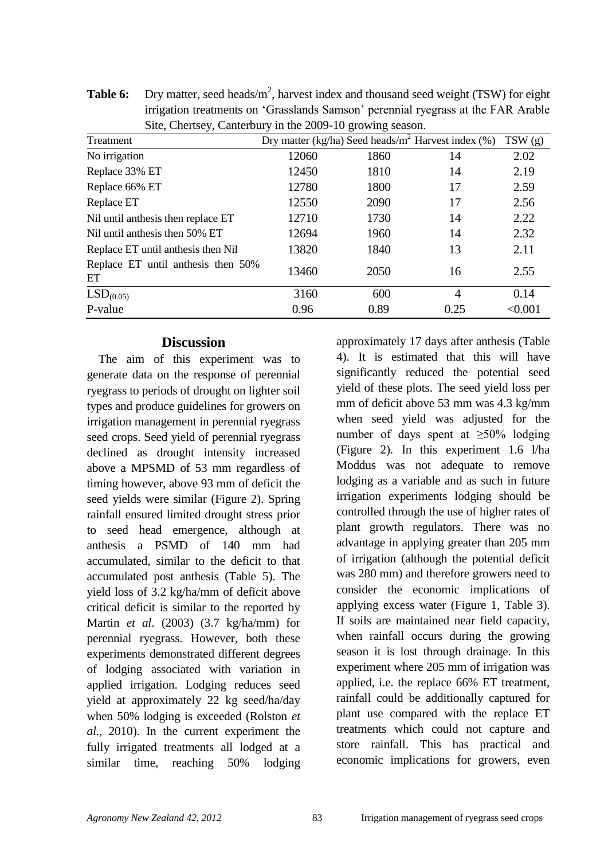| Site, Chertsey, Canterbury in the 2009-10 growing season. |       |      |                                                        |         |  |
|-----------------------------------------------------------|-------|------|--------------------------------------------------------|---------|--|
| Treatment                                                 |       |      | Dry matter (kg/ha) Seed heads/ $m^2$ Harvest index (%) | TSW(g)  |  |
| No irrigation                                             | 12060 | 1860 | 14                                                     | 2.02    |  |
| Replace 33% ET                                            | 12450 | 1810 | 14                                                     | 2.19    |  |
| Replace 66% ET                                            | 12780 | 1800 | 17                                                     | 2.59    |  |
| Replace ET                                                | 12550 | 2090 | 17                                                     | 2.56    |  |
| Nil until anthesis then replace ET                        | 12710 | 1730 | 14                                                     | 2.22    |  |
| Nil until anthesis then 50% ET                            | 12694 | 1960 | 14                                                     | 2.32    |  |
| Replace ET until anthesis then Nil                        | 13820 | 1840 | 13                                                     | 2.11    |  |
| Replace ET until anthesis then 50%<br>ET                  | 13460 | 2050 | 16                                                     | 2.55    |  |
| LSD <sub>(0.05)</sub>                                     | 3160  | 600  | 4                                                      | 0.14    |  |
| P-value                                                   | 0.96  | 0.89 | 0.25                                                   | < 0.001 |  |

**Table 6:** Dry matter, seed heads/m<sup>2</sup>, harvest index and thousand seed weight (TSW) for eight irrigation treatments on "Grasslands Samson" perennial ryegrass at the FAR Arable Site, Chertsey, Canterbury in the 2009-10 growing season.

## **Discussion**

The aim of this experiment was to generate data on the response of perennial ryegrass to periods of drought on lighter soil types and produce guidelines for growers on irrigation management in perennial ryegrass seed crops. Seed yield of perennial ryegrass declined as drought intensity increased above a MPSMD of 53 mm regardless of timing however, above 93 mm of deficit the seed yields were similar (Figure 2). Spring rainfall ensured limited drought stress prior to seed head emergence, although at anthesis a PSMD of 140 mm had accumulated, similar to the deficit to that accumulated post anthesis (Table 5). The yield loss of 3.2 kg/ha/mm of deficit above critical deficit is similar to the reported by Martin *et al*. (2003) (3.7 kg/ha/mm) for perennial ryegrass. However, both these experiments demonstrated different degrees of lodging associated with variation in applied irrigation. Lodging reduces seed yield at approximately 22 kg seed/ha/day when 50% lodging is exceeded (Rolston *et al*., 2010). In the current experiment the fully irrigated treatments all lodged at a similar time, reaching 50% lodging approximately 17 days after anthesis (Table 4). It is estimated that this will have significantly reduced the potential seed yield of these plots. The seed yield loss per mm of deficit above 53 mm was 4.3 kg/mm when seed yield was adjusted for the number of days spent at  $\geq 50\%$  lodging (Figure 2). In this experiment 1.6 l/ha Moddus was not adequate to remove lodging as a variable and as such in future irrigation experiments lodging should be controlled through the use of higher rates of plant growth regulators. There was no advantage in applying greater than 205 mm of irrigation (although the potential deficit was 280 mm) and therefore growers need to consider the economic implications of applying excess water [\(Figure 1,](#page-3-0) [Table 3\)](#page-3-1). If soils are maintained near field capacity, when rainfall occurs during the growing season it is lost through drainage. In this experiment where 205 mm of irrigation was applied, i.e. the replace 66% ET treatment, rainfall could be additionally captured for plant use compared with the replace ET treatments which could not capture and store rainfall. This has practical and economic implications for growers, even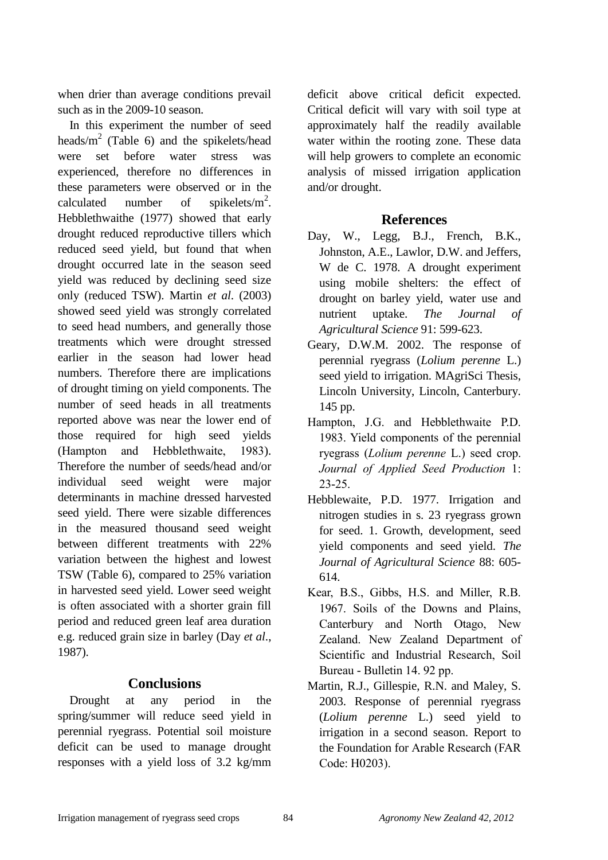when drier than average conditions prevail such as in the 2009-10 season.

In this experiment the number of seed heads/ $m^2$  [\(Table 6\)](#page-5-0) and the spikelets/head were set before water stress was experienced, therefore no differences in these parameters were observed or in the calculated number of spikelets/ $m^2$ . Hebblethwaithe (1977) showed that early drought reduced reproductive tillers which reduced seed yield, but found that when drought occurred late in the season seed yield was reduced by declining seed size only (reduced TSW). Martin *et al*. (2003) showed seed yield was strongly correlated to seed head numbers, and generally those treatments which were drought stressed earlier in the season had lower head numbers. Therefore there are implications of drought timing on yield components. The number of seed heads in all treatments reported above was near the lower end of those required for high seed yields (Hampton and Hebblethwaite, 1983). Therefore the number of seeds/head and/or individual seed weight were major determinants in machine dressed harvested seed yield. There were sizable differences in the measured thousand seed weight between different treatments with 22% variation between the highest and lowest TSW (Table 6), compared to 25% variation in harvested seed yield. Lower seed weight is often associated with a shorter grain fill period and reduced green leaf area duration e.g. reduced grain size in barley (Day *et al*., 1987).

# **Conclusions**

Drought at any period in the spring/summer will reduce seed yield in perennial ryegrass. Potential soil moisture deficit can be used to manage drought responses with a yield loss of 3.2 kg/mm

deficit above critical deficit expected. Critical deficit will vary with soil type at approximately half the readily available water within the rooting zone. These data will help growers to complete an economic analysis of missed irrigation application and/or drought.

# **References**

- Day, W., Legg, B.J., French, B.K., Johnston, A.E., Lawlor, D.W. and Jeffers, W de C. 1978. A drought experiment using mobile shelters: the effect of drought on barley yield, water use and nutrient uptake. *The Journal of Agricultural Science* 91: 599-623.
- Geary, D.W.M. 2002. The response of perennial ryegrass (*Lolium perenne* L.) seed yield to irrigation. MAgriSci Thesis, Lincoln University, Lincoln, Canterbury. 145 pp.
- Hampton, J.G. and Hebblethwaite P.D. 1983. Yield components of the perennial ryegrass (*Lolium perenne* L.) seed crop. *Journal of Applied Seed Production* 1: 23-25.
- Hebblewaite, P.D. 1977. Irrigation and nitrogen studies in s. 23 ryegrass grown for seed. 1. Growth, development, seed yield components and seed yield. *The Journal of Agricultural Science* 88: 605- 614.
- Kear, B.S., Gibbs, H.S. and Miller, R.B. 1967. Soils of the Downs and Plains, Canterbury and North Otago, New Zealand. New Zealand Department of Scientific and Industrial Research, Soil Bureau - Bulletin 14. 92 pp.
- Martin, R.J., Gillespie, R.N. and Maley, S. 2003. Response of perennial ryegrass (*Lolium perenne* L.) seed yield to irrigation in a second season. Report to the Foundation for Arable Research (FAR Code: H0203).